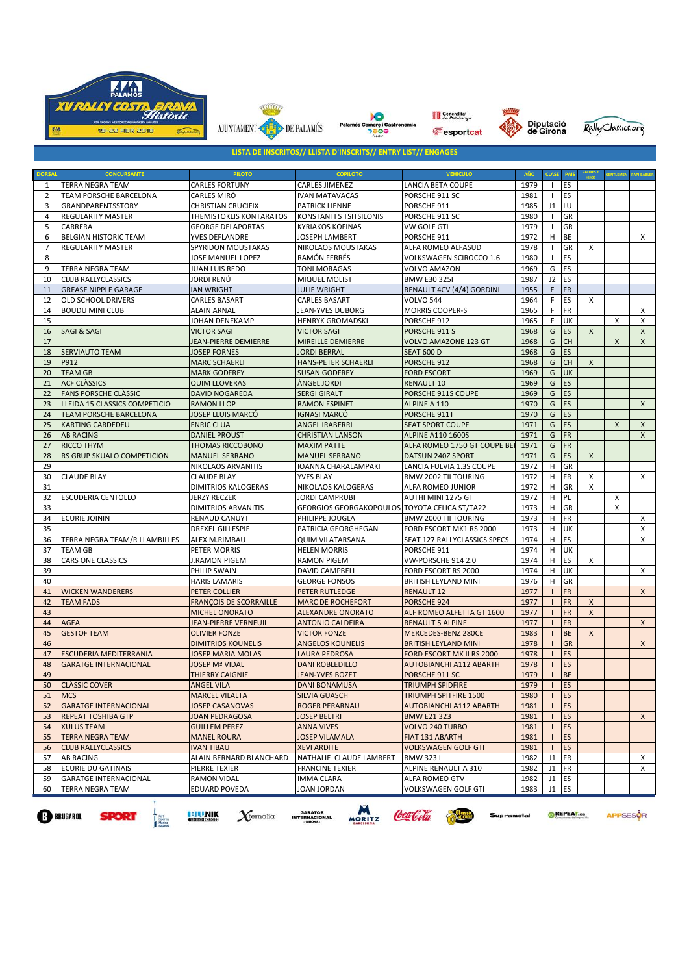











**LISTA DE INSCRITOS// LLISTA D'INSCRITS// ENTRY LIST// ENGAGES**

| <b>DORSAL</b>                                                                                                                                                                                                  | <b>CONCURSANTE</b>            | <b>PILOTO</b>                 | <b>COPILOTO</b>                               | <b>VEHICULO</b>                | AÑO  | <b>CLASE</b> | <b>PAIS</b> |                | ENTLEME | <b>PAPI BABLE</b>  |
|----------------------------------------------------------------------------------------------------------------------------------------------------------------------------------------------------------------|-------------------------------|-------------------------------|-----------------------------------------------|--------------------------------|------|--------------|-------------|----------------|---------|--------------------|
| 1                                                                                                                                                                                                              | TERRA NEGRA TEAM              | <b>CARLES FORTUNY</b>         | <b>CARLES JIMENEZ</b>                         | LANCIA BETA COUPE              | 1979 |              | ES          |                |         |                    |
| 2                                                                                                                                                                                                              | TEAM PORSCHE BARCELONA        | CARLES MIRÓ                   | <b>IVAN MATAVACAS</b>                         | PORSCHE 911 SC                 | 1981 |              | ES          |                |         |                    |
| 3                                                                                                                                                                                                              | GRANDPARENTSSTORY             | <b>CHRISTIAN CRUCIFIX</b>     | <b>PATRICK LIENNE</b>                         | PORSCHE 911                    | 1985 | J1           | LU          |                |         |                    |
| 4                                                                                                                                                                                                              | <b>REGULARITY MASTER</b>      | THEMISTOKLIS KONTARATOS       | KONSTANTI S TSITSILONIS                       | PORSCHE 911 SC                 | 1980 |              | GR          |                |         |                    |
| 5                                                                                                                                                                                                              | CARRERA                       | <b>GEORGE DELAPORTAS</b>      | <b>KYRIAKOS KOFINAS</b>                       | VW GOLF GTI                    | 1979 |              | GR          |                |         |                    |
| 6                                                                                                                                                                                                              | <b>BELGIAN HISTORIC TEAM</b>  | YVES DEFLANDRE                | JOSEPH LAMBERT                                | PORSCHE 911                    | 1972 | $\mathsf H$  | BE          |                |         | Χ                  |
| $\overline{7}$                                                                                                                                                                                                 | <b>REGULARITY MASTER</b>      | SPYRIDON MOUSTAKAS            | NIKOLAOS MOUSTAKAS                            | ALFA ROMEO ALFASUD             | 1978 |              | GR          | x              |         |                    |
| 8                                                                                                                                                                                                              |                               | JOSE MANUEL LOPEZ             | RAMÓN FERRÉS                                  | VOLKSWAGEN SCIROCCO 1.6        | 1980 |              | ES          |                |         |                    |
| 9                                                                                                                                                                                                              | TERRA NEGRA TEAM              | JUAN LUIS REDO                | <b>TONI MORAGAS</b>                           | VOLVO AMAZON                   | 1969 | G            | ES          |                |         |                    |
| 10                                                                                                                                                                                                             | <b>CLUB RALLYCLASSICS</b>     | JORDI RENÚ                    | MIQUEL MOLIST                                 | <b>BMW E30 3251</b>            | 1987 | J2           | ES          |                |         |                    |
| 11                                                                                                                                                                                                             | <b>GREASE NIPPLE GARAGE</b>   | <b>IAN WRIGHT</b>             | <b>JULIE WRIGHT</b>                           | RENAULT 4CV (4/4) GORDINI      | 1955 | E            | FR          |                |         |                    |
| 12                                                                                                                                                                                                             | OLD SCHOOL DRIVERS            | CARLES BASART                 | <b>CARLES BASART</b>                          | <b>VOLVO 544</b>               | 1964 | F            | ES          | X              |         |                    |
| 14                                                                                                                                                                                                             | <b>BOUDU MINI CLUB</b>        | <b>ALAIN ARNAL</b>            | JEAN-YVES DUBORG                              | <b>MORRIS COOPER-S</b>         | 1965 | F            | FR          |                |         | x                  |
| 15                                                                                                                                                                                                             |                               | JOHAN DENEKAMP                | <b>HENRYK GROMADSKI</b>                       | PORSCHE 912                    | 1965 | F            | UK          |                | X       | Χ                  |
| 16                                                                                                                                                                                                             | SAGI & SAGI                   | <b>VICTOR SAGI</b>            | <b>VICTOR SAGI</b>                            | PORSCHE 911 S                  | 1968 | G            | ES          | X              |         | X                  |
| 17                                                                                                                                                                                                             |                               | JEAN-PIERRE DEMIERRE          | MIREILLE DEMIERRE                             | VOLVO AMAZONE 123 GT           | 1968 | G            | СH          |                | X       | X                  |
| 18                                                                                                                                                                                                             | <b>SERVIAUTO TEAM</b>         | <b>JOSEP FORNES</b>           | <b>JORDI BERRAL</b>                           | <b>SEAT 600 D</b>              | 1968 | G            | <b>ES</b>   |                |         |                    |
| 19                                                                                                                                                                                                             | P912                          | <b>MARC SCHAERLI</b>          | HANS-PETER SCHAERLI                           | PORSCHE 912                    | 1968 | G            | СH          | X              |         |                    |
| 20                                                                                                                                                                                                             | <b>TEAM GB</b>                | <b>MARK GODFREY</b>           | <b>SUSAN GODFREY</b>                          | <b>FORD ESCORT</b>             | 1969 | G            | UK          |                |         |                    |
| 21                                                                                                                                                                                                             | <b>ACF CLASSICS</b>           | <b>QUIM LLOVERAS</b>          | ÀNGEL JORDI                                   | <b>RENAULT 10</b>              | 1969 | G            | <b>ES</b>   |                |         |                    |
| 22                                                                                                                                                                                                             | <b>FANS PORSCHE CLASSIC</b>   | <b>DAVID NOGAREDA</b>         | <b>SERGI GIRALT</b>                           | PORSCHE 911S COUPE             | 1969 | G            | ES          |                |         |                    |
| 23                                                                                                                                                                                                             | LLEIDA 15 CLASSICS COMPETICIO | <b>RAMON LLOP</b>             | <b>RAMON ESPINET</b>                          | ALPINE A 110                   | 1970 | G            | ES          |                |         | X                  |
| 24                                                                                                                                                                                                             | TEAM PORSCHE BARCELONA        | JOSEP LLUIS MARCÓ             | <b>IGNASI MARCÓ</b>                           | PORSCHE 911T                   | 1970 | G            | ES          |                |         |                    |
| 25                                                                                                                                                                                                             | KARTING CARDEDEU              | <b>ENRIC CLUA</b>             | ANGEL IRABERRI                                | <b>SEAT SPORT COUPE</b>        | 1971 | G            | ES          |                | X       | X                  |
| 26                                                                                                                                                                                                             | <b>AB RACING</b>              | <b>DANIEL PROUST</b>          | <b>CHRISTIAN LANSON</b>                       | <b>ALPINE A110 1600S</b>       | 1971 | G            | FR          |                |         | X                  |
| 27                                                                                                                                                                                                             | <b>RICCO THYM</b>             | THOMAS RICCOBONO              | <b>MAXIM PATTE</b>                            | ALFA ROMEO 1750 GT COUPE BE    | 1971 | G            | FR          |                |         |                    |
| 28                                                                                                                                                                                                             | RS GRUP SKUALO COMPETICION    | <b>MANUEL SERRANO</b>         | <b>MANUEL SERRANO</b>                         | DATSUN 240Z SPORT              | 1971 | G            | ES          | X              |         |                    |
| 29                                                                                                                                                                                                             |                               | NIKOLAOS ARVANITIS            | IOANNA CHARALAMPAKI                           | LANCIA FULVIA 1.3S COUPE       | 1972 | H            | GR          |                |         |                    |
| 30                                                                                                                                                                                                             | <b>CLAUDE BLAY</b>            | <b>CLAUDE BLAY</b>            | YVES BLAY                                     | BMW 2002 TII TOURING           | 1972 | H            | FR          | x              |         | X                  |
| 31                                                                                                                                                                                                             |                               | <b>DIMITRIOS KALOGERAS</b>    | NIKOLAOS KALOGERAS                            | ALFA ROMEO JUNIOR              | 1972 | H            | GR          | x              |         |                    |
| 32                                                                                                                                                                                                             | <b>ESCUDERIA CENTOLLO</b>     | JERZY RECZEK                  | JORDI CAMPRUBI                                | AUTHI MINI 1275 GT             | 1972 | H            | PL          |                | Х       |                    |
| 33                                                                                                                                                                                                             |                               | <b>DIMITRIOS ARVANITIS</b>    | GEORGIOS GEORGAKOPOULOS TOYOTA CELICA ST/TA22 |                                | 1973 | H            | GR          |                | X       |                    |
| 34                                                                                                                                                                                                             | <b>ECURIE JOININ</b>          | <b>RENAUD CANUYT</b>          | PHILIPPE JOUGLA                               | <b>BMW 2000 TII TOURING</b>    | 1973 | H            | FR          |                |         | X                  |
| 35                                                                                                                                                                                                             |                               | <b>DREXEL GILLESPIE</b>       | PATRICIA GEORGHEGAN                           | FORD ESCORT MK1 RS 2000        | 1973 | H            | UK          |                |         | X                  |
| 36                                                                                                                                                                                                             | TERRA NEGRA TEAM/R LLAMBILLES | ALEX M.RIMBAU                 | <b>QUIM VILATARSANA</b>                       | SEAT 127 RALLYCLASSICS SPECS   | 1974 | H            | ES          |                |         | X                  |
| 37                                                                                                                                                                                                             | <b>TEAM GB</b>                | PETER MORRIS                  | <b>HELEN MORRIS</b>                           | PORSCHE 911                    | 1974 | H            | UK          |                |         |                    |
| 38                                                                                                                                                                                                             | CARS ONE CLASSICS             | J.RAMON PIGEM                 | <b>RAMON PIGEM</b>                            | VW-PORSCHE 914 2.0             | 1974 | H            | ES          | X              |         |                    |
| 39                                                                                                                                                                                                             |                               | PHILIP SWAIN                  | DAVID CAMPBELL                                | FORD ESCORT RS 2000            | 1974 | H            | UK          |                |         | X                  |
| 40                                                                                                                                                                                                             |                               | <b>HARIS LAMARIS</b>          | <b>GEORGE FONSOS</b>                          | <b>BRITISH LEYLAND MINI</b>    | 1976 | H            | GR          |                |         |                    |
| 41                                                                                                                                                                                                             | <b>WICKEN WANDERERS</b>       | PETER COLLIER                 | <b>PETER RUTLEDGE</b>                         | <b>RENAULT 12</b>              | 1977 |              | <b>FR</b>   |                |         | $\mathsf{X}$       |
| 42                                                                                                                                                                                                             | <b>TEAM FADS</b>              | <b>FRANÇOIS DE SCORRAILLE</b> | <b>MARC DE ROCHEFORT</b>                      | PORSCHE 924                    | 1977 |              | <b>FR</b>   | $\pmb{\times}$ |         |                    |
| 43                                                                                                                                                                                                             |                               | <b>MICHEL ONORATO</b>         | <b>ALEXANDRE ONORATO</b>                      | ALF ROMEO ALFETTA GT 1600      | 1977 |              | <b>FR</b>   | $\pmb{\times}$ |         |                    |
| 44                                                                                                                                                                                                             | <b>AGEA</b>                   | JEAN-PIERRE VERNEUIL          | <b>ANTONIO CALDEIRA</b>                       | <b>RENAULT 5 ALPINE</b>        | 1977 |              | <b>FR</b>   |                |         | X                  |
| 45                                                                                                                                                                                                             | <b>GESTOF TEAM</b>            | <b>OLIVIER FONZE</b>          | <b>VICTOR FONZE</b>                           | MERCEDES-BENZ 280CE            | 1983 |              | <b>BE</b>   | $\mathsf{x}$   |         |                    |
| 46                                                                                                                                                                                                             |                               | <b>DIMITRIOS KOUNELIS</b>     | <b>ANGELOS KOUNELIS</b>                       | <b>BRITISH LEYLAND MINI</b>    | 1978 |              | <b>GR</b>   |                |         | $\pmb{\mathsf{X}}$ |
| 47                                                                                                                                                                                                             | <b>ESCUDERIA MEDITERRANIA</b> | <b>JOSEP MARIA MOLAS</b>      | <b>LAURA PEDROSA</b>                          | FORD ESCORT MK II RS 2000      | 1978 |              | ES          |                |         |                    |
| 48                                                                                                                                                                                                             | <b>GARATGE INTERNACIONAL</b>  | <b>JOSEP Mª VIDAL</b>         | <b>DANI ROBLEDILLO</b>                        | <b>AUTOBIANCHI A112 ABARTH</b> | 1978 |              | ES          |                |         |                    |
| 49                                                                                                                                                                                                             |                               | <b>THIERRY CAIGNIE</b>        | <b>JEAN-YVES BOZET</b>                        | PORSCHE 911 SC                 | 1979 |              | <b>BE</b>   |                |         |                    |
| 50                                                                                                                                                                                                             | <b>CLASSIC COVER</b>          | <b>ANGEL VILA</b>             | <b>DANI BONAMUSA</b>                          | <b>TRIUMPH SPIDFIRE</b>        | 1979 |              | <b>IES</b>  |                |         |                    |
| 51                                                                                                                                                                                                             | <b>MCS</b>                    | <b>MARCEL VILALTA</b>         | <b>SILVIA GUASCH</b>                          | <b>TRIUMPH SPITFIRE 1500</b>   | 1980 |              | ES          |                |         |                    |
| 52                                                                                                                                                                                                             | <b>GARATGE INTERNACIONAL</b>  | <b>JOSEP CASANOVAS</b>        | <b>ROGER PERARNAU</b>                         | <b>AUTOBIANCHI A112 ABARTH</b> | 1981 |              | ES          |                |         |                    |
| 53                                                                                                                                                                                                             | <b>REPEAT TOSHIBA GTP</b>     | <b>JOAN PEDRAGOSA</b>         | <b>JOSEP BELTRI</b>                           | <b>BMW E21 323</b>             | 1981 |              | ES          |                |         | X                  |
| 54                                                                                                                                                                                                             | <b>XULUS TEAM</b>             | <b>GUILLEM PEREZ</b>          | <b>ANNA VIVES</b>                             | VOLVO 240 TURBO                | 1981 |              | ES          |                |         |                    |
| 55                                                                                                                                                                                                             | <b>TERRA NEGRA TEAM</b>       | <b>MANEL ROURA</b>            | <b>JOSEP VILAMALA</b>                         | FIAT 131 ABARTH                | 1981 |              | ES          |                |         |                    |
| 56                                                                                                                                                                                                             | <b>CLUB RALLYCLASSICS</b>     | <b>IVAN TIBAU</b>             | <b>XEVI ARDITE</b>                            | <b>VOLKSWAGEN GOLF GTI</b>     | 1981 |              | ES          |                |         |                    |
| 57                                                                                                                                                                                                             | <b>AB RACING</b>              | ALAIN BERNARD BLANCHARD       | NATHALIE CLAUDE LAMBERT                       | <b>BMW 3231</b>                | 1982 | J1           | FR          |                |         | Х                  |
| 58                                                                                                                                                                                                             | <b>ECURIE DU GATINAIS</b>     | PIERRE TEXIER                 | <b>FRANCINE TEXIER</b>                        | ALPINE RENAULT A 310           | 1982 | J1           | FR          |                |         | X                  |
| 59                                                                                                                                                                                                             | <b>GARATGE INTERNACIONAL</b>  | <b>RAMON VIDAL</b>            | <b>IMMA CLARA</b>                             | ALFA ROMEO GTV                 | 1982 | J1           | ES          |                |         |                    |
| 60                                                                                                                                                                                                             | <b>TERRA NEGRA TEAM</b>       | <b>EDUARD POVEDA</b>          | <b>JOAN JORDAN</b>                            | <b>VOLKSWAGEN GOLF GTI</b>     | 1983 | J1           | ES          |                |         |                    |
|                                                                                                                                                                                                                |                               |                               |                                               |                                |      |              |             |                |         |                    |
| M<br>GARATGE<br>INTERNACIONAL<br>REPEAT.es<br><b>E: ENIK</b><br>$\chi$ fernalia<br>APPSESOR<br>Coca Cola<br><b>E-BRUGAROL</b><br><b>SPORT</b><br>Supramotal<br>Port<br>Esportiu<br>Marina<br>Palamón<br>MORITZ |                               |                               |                                               |                                |      |              |             |                |         |                    |